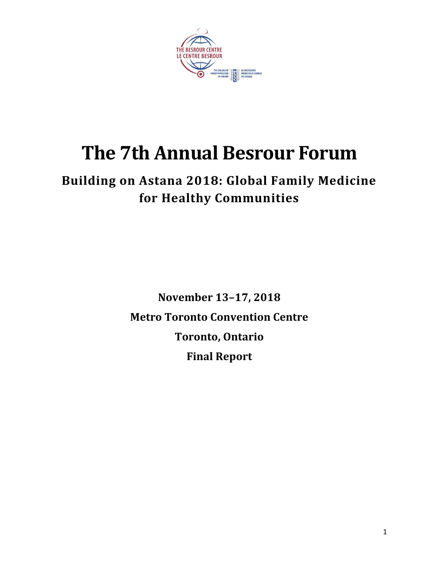

# **The 7th Annual Besrour Forum**

## **Building on Astana 2018: Global Family Medicine for Healthy Communities**

**November 13–17, 2018 Metro Toronto Convention Centre Toronto, Ontario Final Report**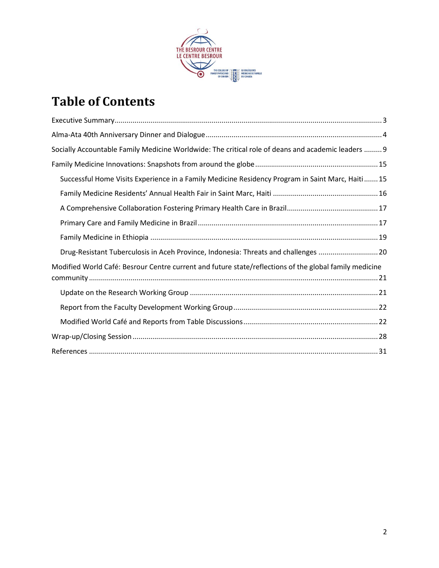

## **Table of Contents**

| Socially Accountable Family Medicine Worldwide: The critical role of deans and academic leaders  9     |
|--------------------------------------------------------------------------------------------------------|
|                                                                                                        |
| Successful Home Visits Experience in a Family Medicine Residency Program in Saint Marc, Haiti 15       |
|                                                                                                        |
|                                                                                                        |
|                                                                                                        |
|                                                                                                        |
| Drug-Resistant Tuberculosis in Aceh Province, Indonesia: Threats and challenges 20                     |
| Modified World Café: Besrour Centre current and future state/reflections of the global family medicine |
|                                                                                                        |
|                                                                                                        |
|                                                                                                        |
|                                                                                                        |
|                                                                                                        |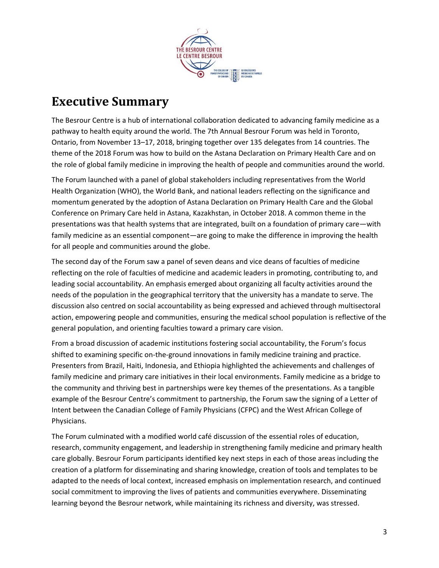

### <span id="page-2-0"></span>**Executive Summary**

The Besrour Centre is a hub of international collaboration dedicated to advancing family medicine as a pathway to health equity around the world. The 7th Annual Besrour Forum was held in Toronto, Ontario, from November 13–17, 2018, bringing together over 135 delegates from 14 countries. The theme of the 2018 Forum was how to build on the Astana Declaration on Primary Health Care and on the role of global family medicine in improving the health of people and communities around the world.

The Forum launched with a panel of global stakeholders including representatives from the World Health Organization (WHO), the World Bank, and national leaders reflecting on the significance and momentum generated by the adoption of Astana Declaration on Primary Health Care and the Global Conference on Primary Care held in Astana, Kazakhstan, in October 2018. A common theme in the presentations was that health systems that are integrated, built on a foundation of primary care—with family medicine as an essential component—are going to make the difference in improving the health for all people and communities around the globe.

The second day of the Forum saw a panel of seven deans and vice deans of faculties of medicine reflecting on the role of faculties of medicine and academic leaders in promoting, contributing to, and leading social accountability. An emphasis emerged about organizing all faculty activities around the needs of the population in the geographical territory that the university has a mandate to serve. The discussion also centred on social accountability as being expressed and achieved through multisectoral action, empowering people and communities, ensuring the medical school population is reflective of the general population, and orienting faculties toward a primary care vision.

From a broad discussion of academic institutions fostering social accountability, the Forum's focus shifted to examining specific on-the-ground innovations in family medicine training and practice. Presenters from Brazil, Haiti, Indonesia, and Ethiopia highlighted the achievements and challenges of family medicine and primary care initiatives in their local environments. Family medicine as a bridge to the community and thriving best in partnerships were key themes of the presentations. As a tangible example of the Besrour Centre's commitment to partnership, the Forum saw the signing of a Letter of Intent between the Canadian College of Family Physicians (CFPC) and the West African College of Physicians.

The Forum culminated with a modified world café discussion of the essential roles of education, research, community engagement, and leadership in strengthening family medicine and primary health care globally. Besrour Forum participants identified key next steps in each of those areas including the creation of a platform for disseminating and sharing knowledge, creation of tools and templates to be adapted to the needs of local context, increased emphasis on implementation research, and continued social commitment to improving the lives of patients and communities everywhere. Disseminating learning beyond the Besrour network, while maintaining its richness and diversity, was stressed.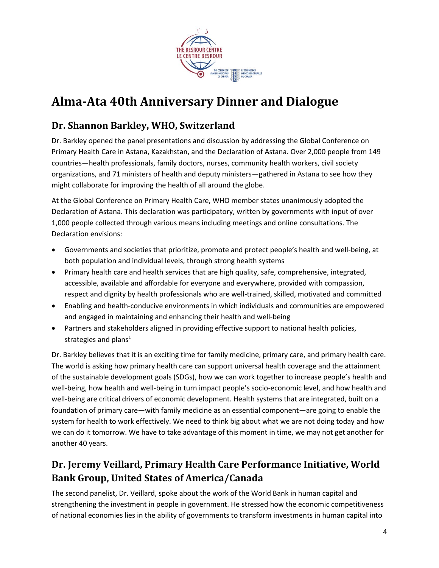

## <span id="page-3-0"></span>**Alma-Ata 40th Anniversary Dinner and Dialogue**

### **Dr. Shannon Barkley, WHO, Switzerland**

Dr. Barkley opened the panel presentations and discussion by addressing the Global Conference on Primary Health Care in Astana, Kazakhstan, and the Declaration of Astana. Over 2,000 people from 149 countries—health professionals, family doctors, nurses, community health workers, civil society organizations, and 71 ministers of health and deputy ministers—gathered in Astana to see how they might collaborate for improving the health of all around the globe.

At the Global Conference on Primary Health Care, WHO member states unanimously adopted the Declaration of Astana. This declaration was participatory, written by governments with input of over 1,000 people collected through various means including meetings and online consultations. The Declaration envisions:

- Governments and societies that prioritize, promote and protect people's health and well-being, at both population and individual levels, through strong health systems
- Primary health care and health services that are high quality, safe, comprehensive, integrated, accessible, available and affordable for everyone and everywhere, provided with compassion, respect and dignity by health professionals who are well-trained, skilled, motivated and committed
- Enabling and health-conducive environments in which individuals and communities are empowered and engaged in maintaining and enhancing their health and well-being
- Partners and stakeholders aligned in providing effective support to national health policies, strategies and plans $1$

Dr. Barkley believes that it is an exciting time for family medicine, primary care, and primary health care. The world is asking how primary health care can support universal health coverage and the attainment of the sustainable development goals (SDGs), how we can work together to increase people's health and well-being, how health and well-being in turn impact people's socio-economic level, and how health and well-being are critical drivers of economic development. Health systems that are integrated, built on a foundation of primary care—with family medicine as an essential component—are going to enable the system for health to work effectively. We need to think big about what we are not doing today and how we can do it tomorrow. We have to take advantage of this moment in time, we may not get another for another 40 years.

### **Dr. Jeremy Veillard, Primary Health Care Performance Initiative, World Bank Group, United States of America/Canada**

The second panelist, Dr. Veillard, spoke about the work of the World Bank in human capital and strengthening the investment in people in government. He stressed how the economic competitiveness of national economies lies in the ability of governments to transform investments in human capital into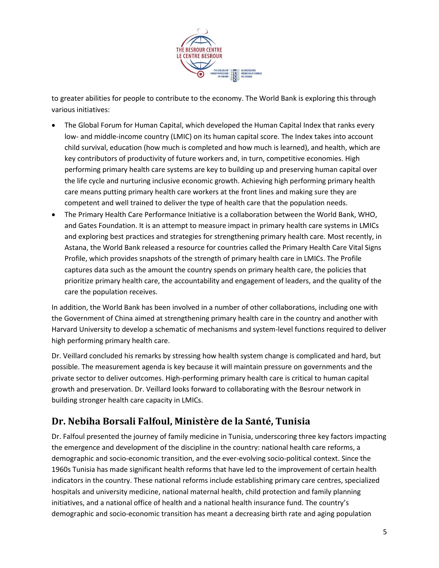

to greater abilities for people to contribute to the economy. The World Bank is exploring this through various initiatives:

- The Global Forum for Human Capital, which developed the Human Capital Index that ranks every low- and middle-income country (LMIC) on its human capital score. The Index takes into account child survival, education (how much is completed and how much is learned), and health, which are key contributors of productivity of future workers and, in turn, competitive economies. High performing primary health care systems are key to building up and preserving human capital over the life cycle and nurturing inclusive economic growth. Achieving high performing primary health care means putting primary health care workers at the front lines and making sure they are competent and well trained to deliver the type of health care that the population needs.
- The Primary Health Care Performance Initiative is a collaboration between the World Bank, WHO, and Gates Foundation. It is an attempt to measure impact in primary health care systems in LMICs and exploring best practices and strategies for strengthening primary health care. Most recently, in Astana, the World Bank released a resource for countries called the Primary Health Care Vital Signs Profile, which provides snapshots of the strength of primary health care in LMICs. The Profile captures data such as the amount the country spends on primary health care, the policies that prioritize primary health care, the accountability and engagement of leaders, and the quality of the care the population receives.

In addition, the World Bank has been involved in a number of other collaborations, including one with the Government of China aimed at strengthening primary health care in the country and another with Harvard University to develop a schematic of mechanisms and system-level functions required to deliver high performing primary health care.

Dr. Veillard concluded his remarks by stressing how health system change is complicated and hard, but possible. The measurement agenda is key because it will maintain pressure on governments and the private sector to deliver outcomes. High-performing primary health care is critical to human capital growth and preservation. Dr. Veillard looks forward to collaborating with the Besrour network in building stronger health care capacity in LMICs.

### **Dr. Nebiha Borsali Falfoul, Ministère de la Santé, Tunisia**

Dr. Falfoul presented the journey of family medicine in Tunisia, underscoring three key factors impacting the emergence and development of the discipline in the country: national health care reforms, a demographic and socio-economic transition, and the ever-evolving socio-political context. Since the 1960s Tunisia has made significant health reforms that have led to the improvement of certain health indicators in the country. These national reforms include establishing primary care centres, specialized hospitals and university medicine, national maternal health, child protection and family planning initiatives, and a national office of health and a national health insurance fund. The country's demographic and socio-economic transition has meant a decreasing birth rate and aging population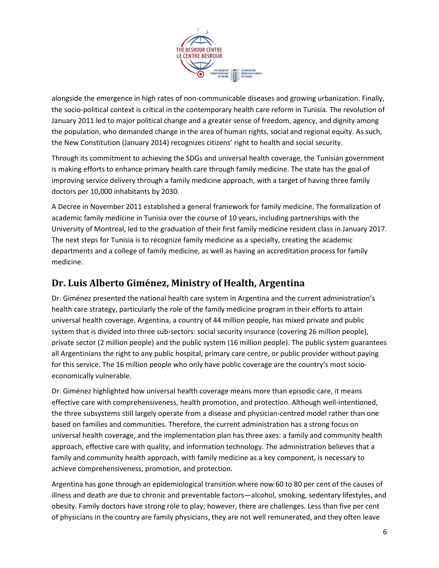

alongside the emergence in high rates of non-communicable diseases and growing urbanization. Finally, the socio-political context is critical in the contemporary health care reform in Tunisia. The revolution of January 2011 led to major political change and a greater sense of freedom, agency, and dignity among the population, who demanded change in the area of human rights, social and regional equity. As such, the New Constitution (January 2014) recognizes citizens' right to health and social security.

Through its commitment to achieving the SDGs and universal health coverage, the Tunisian government is making efforts to enhance primary health care through family medicine. The state has the goal of improving service delivery through a family medicine approach, with a target of having three family doctors per 10,000 inhabitants by 2030.

A Decree in November 2011 established a general framework for family medicine. The formalization of academic family medicine in Tunisia over the course of 10 years, including partnerships with the University of Montreal, led to the graduation of their first family medicine resident class in January 2017. The next steps for Tunisia is to recognize family medicine as a specialty, creating the academic departments and a college of family medicine, as well as having an accreditation process for family medicine.

#### **Dr. Luis Alberto Giménez, Ministry of Health, Argentina**

Dr. Giménez presented the national health care system in Argentina and the current administration's health care strategy, particularly the role of the family medicine program in their efforts to attain universal health coverage. Argentina, a country of 44 million people, has mixed private and public system that is divided into three sub-sectors: social security insurance (covering 26 million people), private sector (2 million people) and the public system (16 million people). The public system guarantees all Argentinians the right to any public hospital, primary care centre, or public provider without paying for this service. The 16 million people who only have public coverage are the country's most socioeconomically vulnerable.

Dr. Giménez highlighted how universal health coverage means more than episodic care, it means effective care with comprehensiveness, health promotion, and protection. Although well-intentioned, the three subsystems still largely operate from a disease and physician-centred model rather than one based on families and communities. Therefore, the current administration has a strong focus on universal health coverage, and the implementation plan has three axes: a family and community health approach, effective care with quality, and information technology. The administration believes that a family and community health approach, with family medicine as a key component, is necessary to achieve comprehensiveness, promotion, and protection.

Argentina has gone through an epidemiological transition where now 60 to 80 per cent of the causes of illness and death are due to chronic and preventable factors—alcohol, smoking, sedentary lifestyles, and obesity. Family doctors have strong role to play; however, there are challenges. Less than five per cent of physicians in the country are family physicians, they are not well remunerated, and they often leave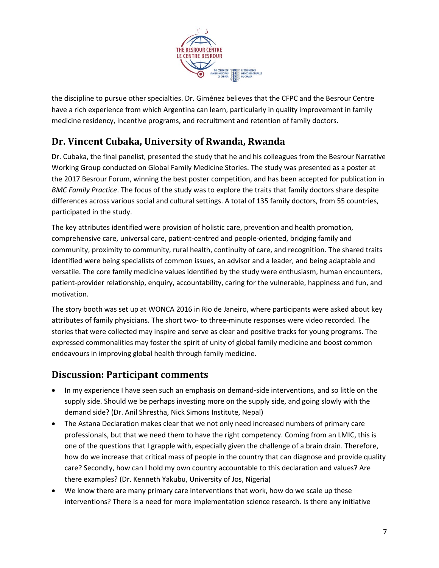

the discipline to pursue other specialties. Dr. Giménez believes that the CFPC and the Besrour Centre have a rich experience from which Argentina can learn, particularly in quality improvement in family medicine residency, incentive programs, and recruitment and retention of family doctors.

### **Dr. Vincent Cubaka, University of Rwanda, Rwanda**

Dr. Cubaka, the final panelist, presented the study that he and his colleagues from the Besrour Narrative Working Group conducted on Global Family Medicine Stories. The study was presented as a poster at the 2017 Besrour Forum, winning the best poster competition, and has been accepted for publication in *BMC Family Practice*. The focus of the study was to explore the traits that family doctors share despite differences across various social and cultural settings. A total of 135 family doctors, from 55 countries, participated in the study.

The key attributes identified were provision of holistic care, prevention and health promotion, comprehensive care, universal care, patient-centred and people-oriented, bridging family and community, proximity to community, rural health, continuity of care, and recognition. The shared traits identified were being specialists of common issues, an advisor and a leader, and being adaptable and versatile. The core family medicine values identified by the study were enthusiasm, human encounters, patient-provider relationship, enquiry, accountability, caring for the vulnerable, happiness and fun, and motivation.

The story booth was set up at WONCA 2016 in Rio de Janeiro, where participants were asked about key attributes of family physicians. The short two- to three-minute responses were video recorded. The stories that were collected may inspire and serve as clear and positive tracks for young programs. The expressed commonalities may foster the spirit of unity of global family medicine and boost common endeavours in improving global health through family medicine.

#### **Discussion: Participant comments**

- In my experience I have seen such an emphasis on demand-side interventions, and so little on the supply side. Should we be perhaps investing more on the supply side, and going slowly with the demand side? (Dr. Anil Shrestha, Nick Simons Institute, Nepal)
- The Astana Declaration makes clear that we not only need increased numbers of primary care professionals, but that we need them to have the right competency. Coming from an LMIC, this is one of the questions that I grapple with, especially given the challenge of a brain drain. Therefore, how do we increase that critical mass of people in the country that can diagnose and provide quality care? Secondly, how can I hold my own country accountable to this declaration and values? Are there examples? (Dr. Kenneth Yakubu, University of Jos, Nigeria)
- We know there are many primary care interventions that work, how do we scale up these interventions? There is a need for more implementation science research. Is there any initiative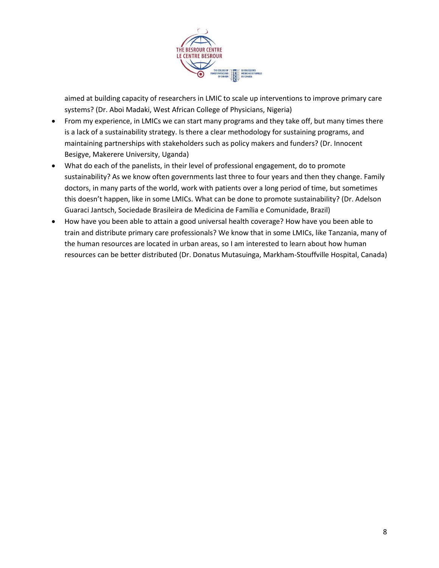

aimed at building capacity of researchers in LMIC to scale up interventions to improve primary care systems? (Dr. Aboi Madaki, West African College of Physicians, Nigeria)

- From my experience, in LMICs we can start many programs and they take off, but many times there is a lack of a sustainability strategy. Is there a clear methodology for sustaining programs, and maintaining partnerships with stakeholders such as policy makers and funders? (Dr. Innocent Besigye, Makerere University, Uganda)
- What do each of the panelists, in their level of professional engagement, do to promote sustainability? As we know often governments last three to four years and then they change. Family doctors, in many parts of the world, work with patients over a long period of time, but sometimes this doesn't happen, like in some LMICs. What can be done to promote sustainability? (Dr. Adelson Guaraci Jantsch, Sociedade Brasileira de Medicina de Família e Comunidade, Brazil)
- How have you been able to attain a good universal health coverage? How have you been able to train and distribute primary care professionals? We know that in some LMICs, like Tanzania, many of the human resources are located in urban areas, so I am interested to learn about how human resources can be better distributed (Dr. Donatus Mutasuinga, Markham-Stouffville Hospital, Canada)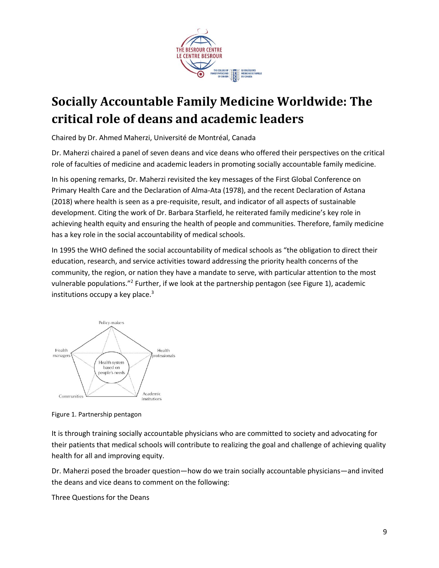

## <span id="page-8-0"></span>**Socially Accountable Family Medicine Worldwide: The critical role of deans and academic leaders**

Chaired by Dr. Ahmed Maherzi, Université de Montréal, Canada

Dr. Maherzi chaired a panel of seven deans and vice deans who offered their perspectives on the critical role of faculties of medicine and academic leaders in promoting socially accountable family medicine.

In his opening remarks, Dr. Maherzi revisited the key messages of the First Global Conference on Primary Health Care and the Declaration of Alma-Ata (1978), and the recent Declaration of Astana (2018) where health is seen as a pre-requisite, result, and indicator of all aspects of sustainable development. Citing the work of Dr. Barbara Starfield, he reiterated family medicine's key role in achieving health equity and ensuring the health of people and communities. Therefore, family medicine has a key role in the social accountability of medical schools.

In 1995 the WHO defined the social accountability of medical schools as "the obligation to direct their education, research, and service activities toward addressing the priority health concerns of the community, the region, or nation they have a mandate to serve, with particular attention to the most vulnerable populations."<sup>2</sup> Further, if we look at the partnership pentagon (see Figure 1), academic institutions occupy a key place. $3$ 



Figure 1. Partnership pentagon

It is through training socially accountable physicians who are committed to society and advocating for their patients that medical schools will contribute to realizing the goal and challenge of achieving quality health for all and improving equity.

Dr. Maherzi posed the broader question—how do we train socially accountable physicians—and invited the deans and vice deans to comment on the following:

Three Questions for the Deans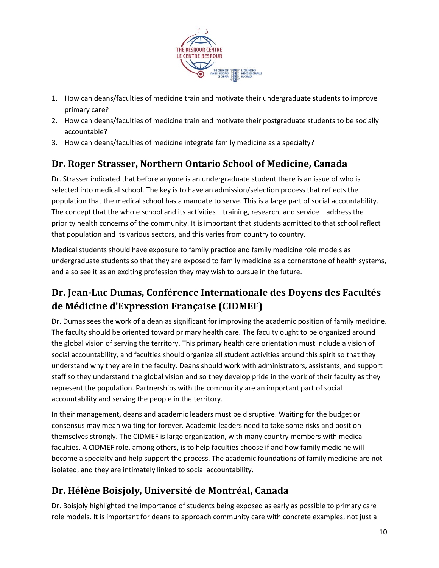

- 1. How can deans/faculties of medicine train and motivate their undergraduate students to improve primary care?
- 2. How can deans/faculties of medicine train and motivate their postgraduate students to be socially accountable?
- 3. How can deans/faculties of medicine integrate family medicine as a specialty?

### **Dr. Roger Strasser, Northern Ontario School of Medicine, Canada**

Dr. Strasser indicated that before anyone is an undergraduate student there is an issue of who is selected into medical school. The key is to have an admission/selection process that reflects the population that the medical school has a mandate to serve. This is a large part of social accountability. The concept that the whole school and its activities—training, research, and service—address the priority health concerns of the community. It is important that students admitted to that school reflect that population and its various sectors, and this varies from country to country.

Medical students should have exposure to family practice and family medicine role models as undergraduate students so that they are exposed to family medicine as a cornerstone of health systems, and also see it as an exciting profession they may wish to pursue in the future.

### **Dr. Jean-Luc Dumas, Conférence Internationale des Doyens des Facultés de Médicine d'Expression Française (CIDMEF)**

Dr. Dumas sees the work of a dean as significant for improving the academic position of family medicine. The faculty should be oriented toward primary health care. The faculty ought to be organized around the global vision of serving the territory. This primary health care orientation must include a vision of social accountability, and faculties should organize all student activities around this spirit so that they understand why they are in the faculty. Deans should work with administrators, assistants, and support staff so they understand the global vision and so they develop pride in the work of their faculty as they represent the population. Partnerships with the community are an important part of social accountability and serving the people in the territory.

In their management, deans and academic leaders must be disruptive. Waiting for the budget or consensus may mean waiting for forever. Academic leaders need to take some risks and position themselves strongly. The CIDMEF is large organization, with many country members with medical faculties. A CIDMEF role, among others, is to help faculties choose if and how family medicine will become a specialty and help support the process. The academic foundations of family medicine are not isolated, and they are intimately linked to social accountability.

### **Dr. Hélène Boisjoly, Université de Montréal, Canada**

Dr. Boisjoly highlighted the importance of students being exposed as early as possible to primary care role models. It is important for deans to approach community care with concrete examples, not just a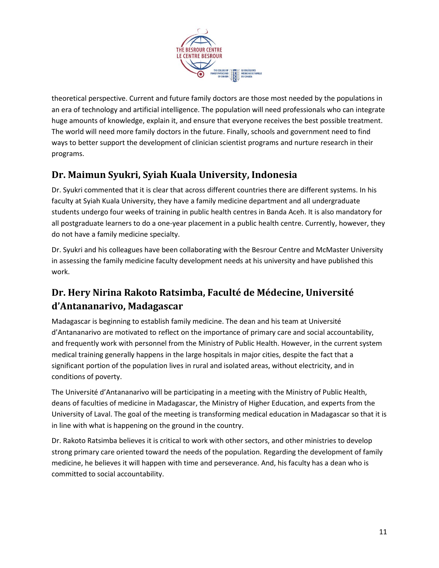

theoretical perspective. Current and future family doctors are those most needed by the populations in an era of technology and artificial intelligence. The population will need professionals who can integrate huge amounts of knowledge, explain it, and ensure that everyone receives the best possible treatment. The world will need more family doctors in the future. Finally, schools and government need to find ways to better support the development of clinician scientist programs and nurture research in their programs.

### **Dr. Maimun Syukri, Syiah Kuala University, Indonesia**

Dr. Syukri commented that it is clear that across different countries there are different systems. In his faculty at Syiah Kuala University, they have a family medicine department and all undergraduate students undergo four weeks of training in public health centres in Banda Aceh. It is also mandatory for all postgraduate learners to do a one-year placement in a public health centre. Currently, however, they do not have a family medicine specialty.

Dr. Syukri and his colleagues have been collaborating with the Besrour Centre and McMaster University in assessing the family medicine faculty development needs at his university and have published this work.

### **Dr. Hery Nirina Rakoto Ratsimba, Faculté de Médecine, Université d'Antananarivo, Madagascar**

Madagascar is beginning to establish family medicine. The dean and his team at Université d'Antananarivo are motivated to reflect on the importance of primary care and social accountability, and frequently work with personnel from the Ministry of Public Health. However, in the current system medical training generally happens in the large hospitals in major cities, despite the fact that a significant portion of the population lives in rural and isolated areas, without electricity, and in conditions of poverty.

The Université d'Antananarivo will be participating in a meeting with the Ministry of Public Health, deans of faculties of medicine in Madagascar, the Ministry of Higher Education, and experts from the University of Laval. The goal of the meeting is transforming medical education in Madagascar so that it is in line with what is happening on the ground in the country.

Dr. Rakoto Ratsimba believes it is critical to work with other sectors, and other ministries to develop strong primary care oriented toward the needs of the population. Regarding the development of family medicine, he believes it will happen with time and perseverance. And, his faculty has a dean who is committed to social accountability.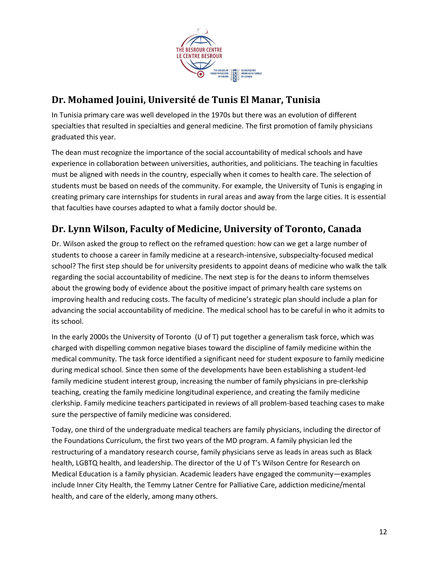

### **Dr. Mohamed Jouini, Université de Tunis El Manar, Tunisia**

In Tunisia primary care was well developed in the 1970s but there was an evolution of different specialties that resulted in specialties and general medicine. The first promotion of family physicians graduated this year.

The dean must recognize the importance of the social accountability of medical schools and have experience in collaboration between universities, authorities, and politicians. The teaching in faculties must be aligned with needs in the country, especially when it comes to health care. The selection of students must be based on needs of the community. For example, the University of Tunis is engaging in creating primary care internships for students in rural areas and away from the large cities. It is essential that faculties have courses adapted to what a family doctor should be.

### **Dr. Lynn Wilson, Faculty of Medicine, University of Toronto, Canada**

Dr. Wilson asked the group to reflect on the reframed question: how can we get a large number of students to choose a career in family medicine at a research-intensive, subspecialty-focused medical school? The first step should be for university presidents to appoint deans of medicine who walk the talk regarding the social accountability of medicine. The next step is for the deans to inform themselves about the growing body of evidence about the positive impact of primary health care systems on improving health and reducing costs. The faculty of medicine's strategic plan should include a plan for advancing the social accountability of medicine. The medical school has to be careful in who it admits to its school.

In the early 2000s the University of Toronto (U of T) put together a generalism task force, which was charged with dispelling common negative biases toward the discipline of family medicine within the medical community. The task force identified a significant need for student exposure to family medicine during medical school. Since then some of the developments have been establishing a student-led family medicine student interest group, increasing the number of family physicians in pre-clerkship teaching, creating the family medicine longitudinal experience, and creating the family medicine clerkship. Family medicine teachers participated in reviews of all problem-based teaching cases to make sure the perspective of family medicine was considered.

Today, one third of the undergraduate medical teachers are family physicians, including the director of the Foundations Curriculum, the first two years of the MD program. A family physician led the restructuring of a mandatory research course, family physicians serve as leads in areas such as Black health, LGBTQ health, and leadership. The director of the U of T's Wilson Centre for Research on Medical Education is a family physician. Academic leaders have engaged the community—examples include Inner City Health, the Temmy Latner Centre for Palliative Care, addiction medicine/mental health, and care of the elderly, among many others.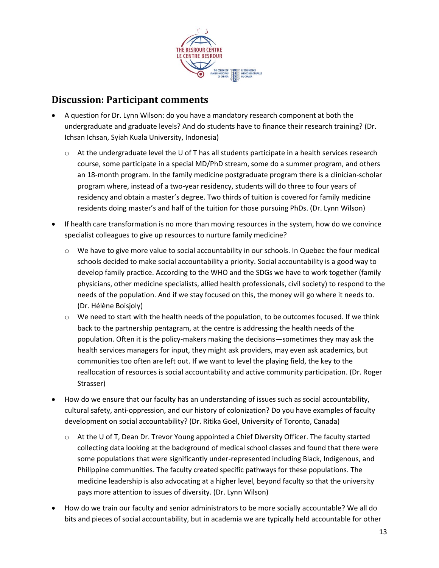

#### **Discussion: Participant comments**

- A question for Dr. Lynn Wilson: do you have a mandatory research component at both the undergraduate and graduate levels? And do students have to finance their research training? (Dr. Ichsan Ichsan, Syiah Kuala University, Indonesia)
	- $\circ$  At the undergraduate level the U of T has all students participate in a health services research course, some participate in a special MD/PhD stream, some do a summer program, and others an 18-month program. In the family medicine postgraduate program there is a clinician-scholar program where, instead of a two-year residency, students will do three to four years of residency and obtain a master's degree. Two thirds of tuition is covered for family medicine residents doing master's and half of the tuition for those pursuing PhDs. (Dr. Lynn Wilson)
- If health care transformation is no more than moving resources in the system, how do we convince specialist colleagues to give up resources to nurture family medicine?
	- $\circ$  We have to give more value to social accountability in our schools. In Quebec the four medical schools decided to make social accountability a priority. Social accountability is a good way to develop family practice. According to the WHO and the SDGs we have to work together (family physicians, other medicine specialists, allied health professionals, civil society) to respond to the needs of the population. And if we stay focused on this, the money will go where it needs to. (Dr. Hélène Boisjoly)
	- $\circ$  We need to start with the health needs of the population, to be outcomes focused. If we think back to the partnership pentagram, at the centre is addressing the health needs of the population. Often it is the policy-makers making the decisions—sometimes they may ask the health services managers for input, they might ask providers, may even ask academics, but communities too often are left out. If we want to level the playing field, the key to the reallocation of resources is social accountability and active community participation. (Dr. Roger Strasser)
- How do we ensure that our faculty has an understanding of issues such as social accountability, cultural safety, anti-oppression, and our history of colonization? Do you have examples of faculty development on social accountability? (Dr. Ritika Goel, University of Toronto, Canada)
	- $\circ$  At the U of T, Dean Dr. Trevor Young appointed a Chief Diversity Officer. The faculty started collecting data looking at the background of medical school classes and found that there were some populations that were significantly under-represented including Black, Indigenous, and Philippine communities. The faculty created specific pathways for these populations. The medicine leadership is also advocating at a higher level, beyond faculty so that the university pays more attention to issues of diversity. (Dr. Lynn Wilson)
- How do we train our faculty and senior administrators to be more socially accountable? We all do bits and pieces of social accountability, but in academia we are typically held accountable for other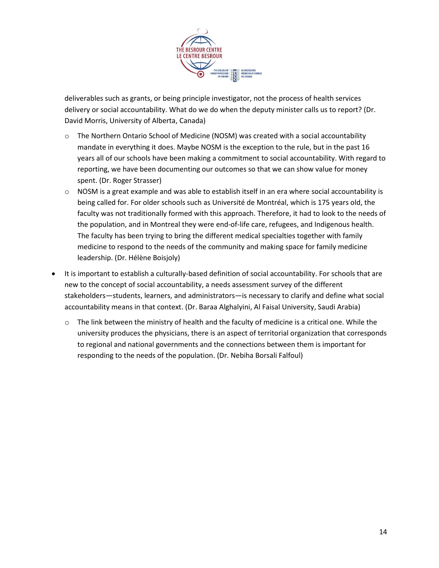

deliverables such as grants, or being principle investigator, not the process of health services delivery or social accountability. What do we do when the deputy minister calls us to report? (Dr. David Morris, University of Alberta, Canada)

- $\circ$  The Northern Ontario School of Medicine (NOSM) was created with a social accountability mandate in everything it does. Maybe NOSM is the exception to the rule, but in the past 16 years all of our schools have been making a commitment to social accountability. With regard to reporting, we have been documenting our outcomes so that we can show value for money spent. (Dr. Roger Strasser)
- $\circ$  NOSM is a great example and was able to establish itself in an era where social accountability is being called for. For older schools such as Université de Montréal, which is 175 years old, the faculty was not traditionally formed with this approach. Therefore, it had to look to the needs of the population, and in Montreal they were end-of-life care, refugees, and Indigenous health. The faculty has been trying to bring the different medical specialties together with family medicine to respond to the needs of the community and making space for family medicine leadership. (Dr. Hélène Boisjoly)
- It is important to establish a culturally-based definition of social accountability. For schools that are new to the concept of social accountability, a needs assessment survey of the different stakeholders—students, learners, and administrators—is necessary to clarify and define what social accountability means in that context. (Dr. Baraa Alghalyini, Al Faisal University, Saudi Arabia)
	- $\circ$  The link between the ministry of health and the faculty of medicine is a critical one. While the university produces the physicians, there is an aspect of territorial organization that corresponds to regional and national governments and the connections between them is important for responding to the needs of the population. (Dr. Nebiha Borsali Falfoul)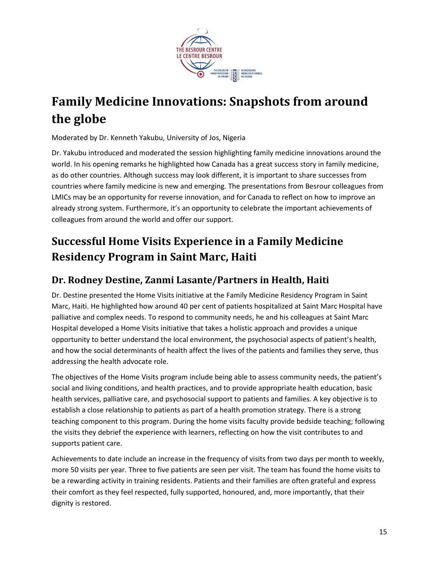

## <span id="page-14-0"></span>**Family Medicine Innovations: Snapshots from around the globe**

Moderated by Dr. Kenneth Yakubu, University of Jos, Nigeria

Dr. Yakubu introduced and moderated the session highlighting family medicine innovations around the world. In his opening remarks he highlighted how Canada has a great success story in family medicine, as do other countries. Although success may look different, it is important to share successes from countries where family medicine is new and emerging. The presentations from Besrour colleagues from LMICs may be an opportunity for reverse innovation, and for Canada to reflect on how to improve an already strong system. Furthermore, it's an opportunity to celebrate the important achievements of colleagues from around the world and offer our support.

### <span id="page-14-1"></span>**Successful Home Visits Experience in a Family Medicine Residency Program in Saint Marc, Haiti**

#### **Dr. Rodney Destine, Zanmi Lasante/Partners in Health, Haiti**

Dr. Destine presented the Home Visits initiative at the Family Medicine Residency Program in Saint Marc, Haiti. He highlighted how around 40 per cent of patients hospitalized at Saint Marc Hospital have palliative and complex needs. To respond to community needs, he and his colleagues at Saint Marc Hospital developed a Home Visits initiative that takes a holistic approach and provides a unique opportunity to better understand the local environment, the psychosocial aspects of patient's health, and how the social determinants of health affect the lives of the patients and families they serve, thus addressing the health advocate role.

The objectives of the Home Visits program include being able to assess community needs, the patient's social and living conditions, and health practices, and to provide appropriate health education, basic health services, palliative care, and psychosocial support to patients and families. A key objective is to establish a close relationship to patients as part of a health promotion strategy. There is a strong teaching component to this program. During the home visits faculty provide bedside teaching; following the visits they debrief the experience with learners, reflecting on how the visit contributes to and supports patient care.

Achievements to date include an increase in the frequency of visits from two days per month to weekly, more 50 visits per year. Three to five patients are seen per visit. The team has found the home visits to be a rewarding activity in training residents. Patients and their families are often grateful and express their comfort as they feel respected, fully supported, honoured, and, more importantly, that their dignity is restored.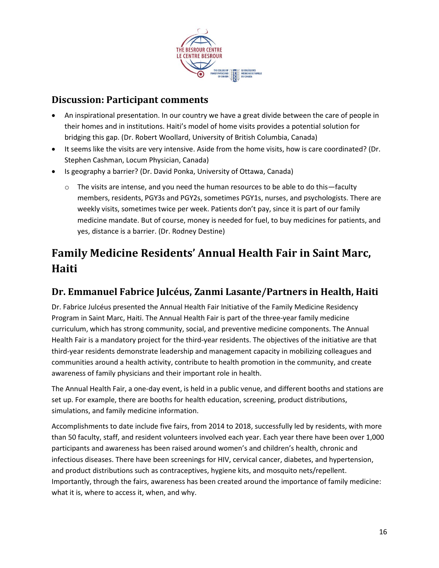

### **Discussion: Participant comments**

- An inspirational presentation. In our country we have a great divide between the care of people in their homes and in institutions. Haiti's model of home visits provides a potential solution for bridging this gap. (Dr. Robert Woollard, University of British Columbia, Canada)
- It seems like the visits are very intensive. Aside from the home visits, how is care coordinated? (Dr. Stephen Cashman, Locum Physician, Canada)
- Is geography a barrier? (Dr. David Ponka, University of Ottawa, Canada)
	- $\circ$  The visits are intense, and you need the human resources to be able to do this—faculty members, residents, PGY3s and PGY2s, sometimes PGY1s, nurses, and psychologists. There are weekly visits, sometimes twice per week. Patients don't pay, since it is part of our family medicine mandate. But of course, money is needed for fuel, to buy medicines for patients, and yes, distance is a barrier. (Dr. Rodney Destine)

### <span id="page-15-0"></span>**Family Medicine Residents' Annual Health Fair in Saint Marc, Haiti**

### **Dr. Emmanuel Fabrice Julcéus, Zanmi Lasante/Partners in Health, Haiti**

Dr. Fabrice Julcéus presented the Annual Health Fair Initiative of the Family Medicine Residency Program in Saint Marc, Haiti. The Annual Health Fair is part of the three-year family medicine curriculum, which has strong community, social, and preventive medicine components. The Annual Health Fair is a mandatory project for the third-year residents. The objectives of the initiative are that third-year residents demonstrate leadership and management capacity in mobilizing colleagues and communities around a health activity, contribute to health promotion in the community, and create awareness of family physicians and their important role in health.

The Annual Health Fair, a one-day event, is held in a public venue, and different booths and stations are set up. For example, there are booths for health education, screening, product distributions, simulations, and family medicine information.

Accomplishments to date include five fairs, from 2014 to 2018, successfully led by residents, with more than 50 faculty, staff, and resident volunteers involved each year. Each year there have been over 1,000 participants and awareness has been raised around women's and children's health, chronic and infectious diseases. There have been screenings for HIV, cervical cancer, diabetes, and hypertension, and product distributions such as contraceptives, hygiene kits, and mosquito nets/repellent. Importantly, through the fairs, awareness has been created around the importance of family medicine: what it is, where to access it, when, and why.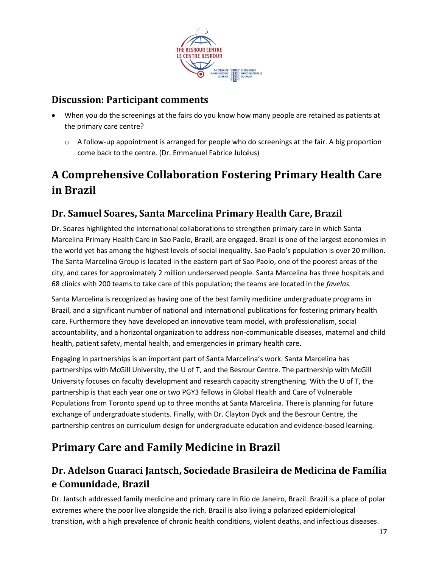

### **Discussion: Participant comments**

- When you do the screenings at the fairs do you know how many people are retained as patients at the primary care centre?
	- $\circ$  A follow-up appointment is arranged for people who do screenings at the fair. A big proportion come back to the centre. (Dr. Emmanuel Fabrice Julcéus)

### <span id="page-16-0"></span>**A Comprehensive Collaboration Fostering Primary Health Care in Brazil**

### **Dr. Samuel Soares, Santa Marcelina Primary Health Care, Brazil**

Dr. Soares highlighted the international collaborations to strengthen primary care in which Santa Marcelina Primary Health Care in Sao Paolo, Brazil, are engaged. Brazil is one of the largest economies in the world yet has among the highest levels of social inequality. Sao Paolo's population is over 20 million. The Santa Marcelina Group is located in the eastern part of Sao Paolo, one of the poorest areas of the city, and cares for approximately 2 million underserved people. Santa Marcelina has three hospitals and 68 clinics with 200 teams to take care of this population; the teams are located in the *favelas.*

Santa Marcelina is recognized as having one of the best family medicine undergraduate programs in Brazil, and a significant number of national and international publications for fostering primary health care. Furthermore they have developed an innovative team model, with professionalism, social accountability, and a horizontal organization to address non-communicable diseases, maternal and child health, patient safety, mental health, and emergencies in primary health care.

Engaging in partnerships is an important part of Santa Marcelina's work. Santa Marcelina has partnerships with McGill University, the U of T, and the Besrour Centre. The partnership with McGill University focuses on faculty development and research capacity strengthening. With the U of T, the partnership is that each year one or two PGY3 fellows in Global Health and Care of Vulnerable Populations from Toronto spend up to three months at Santa Marcelina. There is planning for future exchange of undergraduate students. Finally, with Dr. Clayton Dyck and the Besrour Centre, the partnership centres on curriculum design for undergraduate education and evidence-based learning.

### <span id="page-16-1"></span>**Primary Care and Family Medicine in Brazil**

### **Dr. Adelson Guaraci Jantsch, Sociedade Brasileira de Medicina de Família e Comunidade, Brazil**

Dr. Jantsch addressed family medicine and primary care in Rio de Janeiro, Brazil. Brazil is a place of polar extremes where the poor live alongside the rich. Brazil is also living a polarized epidemiological transition**,** with a high prevalence of chronic health conditions, violent deaths, and infectious diseases.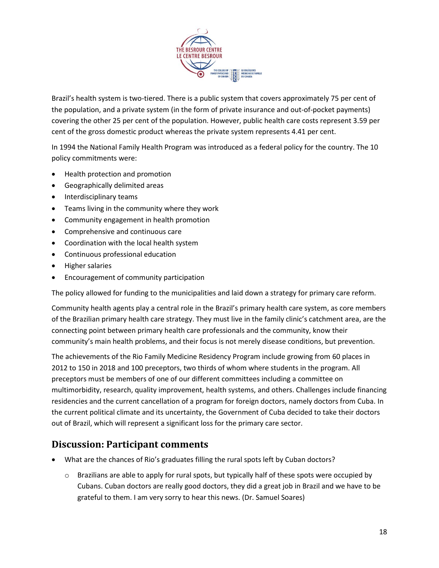

Brazil's health system is two-tiered. There is a public system that covers approximately 75 per cent of the population, and a private system (in the form of private insurance and out-of-pocket payments) covering the other 25 per cent of the population. However, public health care costs represent 3.59 per cent of the gross domestic product whereas the private system represents 4.41 per cent.

In 1994 the National Family Health Program was introduced as a federal policy for the country. The 10 policy commitments were:

- Health protection and promotion
- Geographically delimited areas
- Interdisciplinary teams
- Teams living in the community where they work
- Community engagement in health promotion
- Comprehensive and continuous care
- Coordination with the local health system
- Continuous professional education
- Higher salaries
- Encouragement of community participation

The policy allowed for funding to the municipalities and laid down a strategy for primary care reform.

Community health agents play a central role in the Brazil's primary health care system, as core members of the Brazilian primary health care strategy. They must live in the family clinic's catchment area, are the connecting point between primary health care professionals and the community, know their community's main health problems, and their focus is not merely disease conditions, but prevention.

The achievements of the Rio Family Medicine Residency Program include growing from 60 places in 2012 to 150 in 2018 and 100 preceptors, two thirds of whom where students in the program. All preceptors must be members of one of our different committees including a committee on multimorbidity, research, quality improvement, health systems, and others. Challenges include financing residencies and the current cancellation of a program for foreign doctors, namely doctors from Cuba. In the current political climate and its uncertainty, the Government of Cuba decided to take their doctors out of Brazil, which will represent a significant loss for the primary care sector.

#### **Discussion: Participant comments**

- What are the chances of Rio's graduates filling the rural spots left by Cuban doctors?
	- $\circ$  Brazilians are able to apply for rural spots, but typically half of these spots were occupied by Cubans. Cuban doctors are really good doctors, they did a great job in Brazil and we have to be grateful to them. I am very sorry to hear this news. (Dr. Samuel Soares)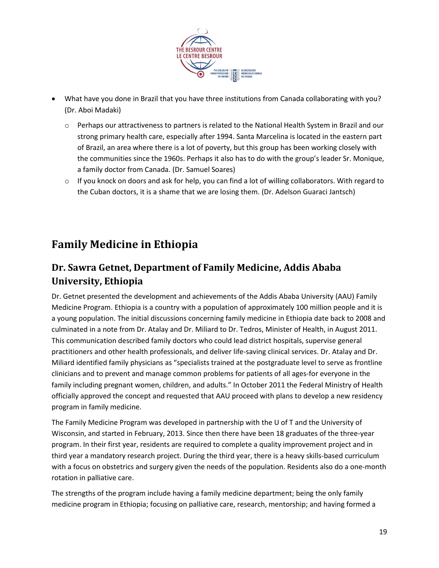

- What have you done in Brazil that you have three institutions from Canada collaborating with you? (Dr. Aboi Madaki)
	- o Perhaps our attractiveness to partners is related to the National Health System in Brazil and our strong primary health care, especially after 1994. Santa Marcelina is located in the eastern part of Brazil, an area where there is a lot of poverty, but this group has been working closely with the communities since the 1960s. Perhaps it also has to do with the group's leader Sr. Monique, a family doctor from Canada. (Dr. Samuel Soares)
	- $\circ$  If you knock on doors and ask for help, you can find a lot of willing collaborators. With regard to the Cuban doctors, it is a shame that we are losing them. (Dr. Adelson Guaraci Jantsch)

### <span id="page-18-0"></span>**Family Medicine in Ethiopia**

### **Dr. Sawra Getnet, Department of Family Medicine, Addis Ababa University, Ethiopia**

Dr. Getnet presented the development and achievements of the Addis Ababa University (AAU) Family Medicine Program. Ethiopia is a country with a population of approximately 100 million people and it is a young population. The initial discussions concerning family medicine in Ethiopia date back to 2008 and culminated in a note from Dr. Atalay and Dr. Miliard to Dr. Tedros, Minister of Health, in August 2011. This communication described family doctors who could lead district hospitals, supervise general practitioners and other health professionals, and deliver life-saving clinical services. Dr. Atalay and Dr. Miliard identified family physicians as "specialists trained at the postgraduate level to serve as frontline clinicians and to prevent and manage common problems for patients of all ages-for everyone in the family including pregnant women, children, and adults." In October 2011 the Federal Ministry of Health officially approved the concept and requested that AAU proceed with plans to develop a new residency program in family medicine.

The Family Medicine Program was developed in partnership with the U of T and the University of Wisconsin, and started in February, 2013. Since then there have been 18 graduates of the three-year program. In their first year, residents are required to complete a quality improvement project and in third year a mandatory research project. During the third year, there is a heavy skills-based curriculum with a focus on obstetrics and surgery given the needs of the population. Residents also do a one-month rotation in palliative care.

The strengths of the program include having a family medicine department; being the only family medicine program in Ethiopia; focusing on palliative care, research, mentorship; and having formed a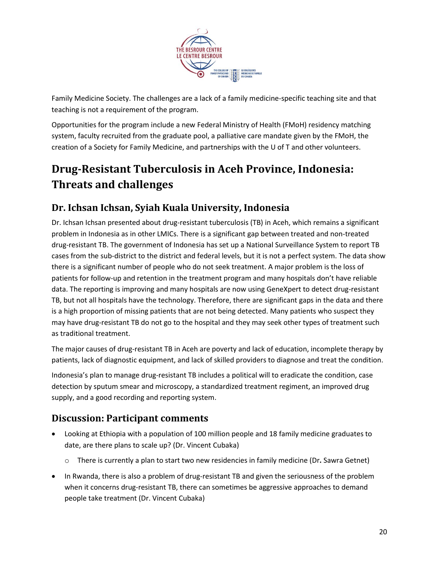

Family Medicine Society. The challenges are a lack of a family medicine-specific teaching site and that teaching is not a requirement of the program.

Opportunities for the program include a new Federal Ministry of Health (FMoH) residency matching system, faculty recruited from the graduate pool, a palliative care mandate given by the FMoH, the creation of a Society for Family Medicine, and partnerships with the U of T and other volunteers.

### <span id="page-19-0"></span>**Drug-Resistant Tuberculosis in Aceh Province, Indonesia: Threats and challenges**

#### **Dr. Ichsan Ichsan, Syiah Kuala University, Indonesia**

Dr. Ichsan Ichsan presented about drug-resistant tuberculosis (TB) in Aceh, which remains a significant problem in Indonesia as in other LMICs. There is a significant gap between treated and non-treated drug-resistant TB. The government of Indonesia has set up a National Surveillance System to report TB cases from the sub-district to the district and federal levels, but it is not a perfect system. The data show there is a significant number of people who do not seek treatment. A major problem is the loss of patients for follow-up and retention in the treatment program and many hospitals don't have reliable data. The reporting is improving and many hospitals are now using GeneXpert to detect drug-resistant TB, but not all hospitals have the technology. Therefore, there are significant gaps in the data and there is a high proportion of missing patients that are not being detected. Many patients who suspect they may have drug-resistant TB do not go to the hospital and they may seek other types of treatment such as traditional treatment.

The major causes of drug-resistant TB in Aceh are poverty and lack of education, incomplete therapy by patients, lack of diagnostic equipment, and lack of skilled providers to diagnose and treat the condition.

Indonesia's plan to manage drug-resistant TB includes a political will to eradicate the condition, case detection by sputum smear and microscopy, a standardized treatment regiment, an improved drug supply, and a good recording and reporting system.

### **Discussion: Participant comments**

- Looking at Ethiopia with a population of 100 million people and 18 family medicine graduates to date, are there plans to scale up? (Dr. Vincent Cubaka)
	- o There is currently a plan to start two new residencies in family medicine (Dr**.** Sawra Getnet)
- In Rwanda, there is also a problem of drug-resistant TB and given the seriousness of the problem when it concerns drug-resistant TB, there can sometimes be aggressive approaches to demand people take treatment (Dr. Vincent Cubaka)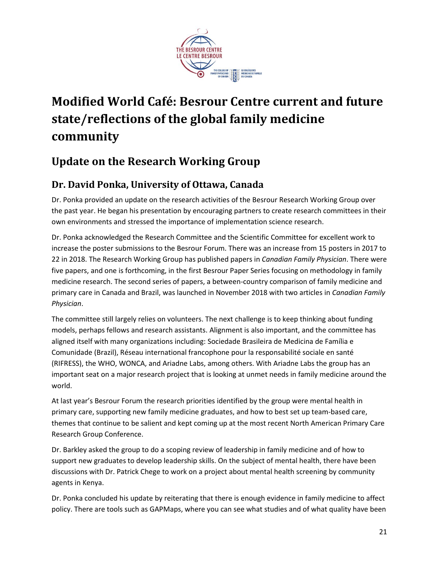

## <span id="page-20-0"></span>**Modified World Café: Besrour Centre current and future state/reflections of the global family medicine community**

### <span id="page-20-1"></span>**Update on the Research Working Group**

### **Dr. David Ponka, University of Ottawa, Canada**

Dr. Ponka provided an update on the research activities of the Besrour Research Working Group over the past year. He began his presentation by encouraging partners to create research committees in their own environments and stressed the importance of implementation science research.

Dr. Ponka acknowledged the Research Committee and the Scientific Committee for excellent work to increase the poster submissions to the Besrour Forum. There was an increase from 15 posters in 2017 to 22 in 2018. The Research Working Group has published papers in *Canadian Family Physician*. There were five papers, and one is forthcoming, in the first Besrour Paper Series focusing on methodology in family medicine research. The second series of papers, a between-country comparison of family medicine and primary care in Canada and Brazil, was launched in November 2018 with two articles in *Canadian Family Physician*.

The committee still largely relies on volunteers. The next challenge is to keep thinking about funding models, perhaps fellows and research assistants. Alignment is also important, and the committee has aligned itself with many organizations including: Sociedade Brasileira de Medicina de Família e Comunidade (Brazil), Réseau international francophone pour la responsabilité sociale en santé (RIFRESS), the WHO, WONCA, and Ariadne Labs, among others. With Ariadne Labs the group has an important seat on a major research project that is looking at unmet needs in family medicine around the world.

At last year's Besrour Forum the research priorities identified by the group were mental health in primary care, supporting new family medicine graduates, and how to best set up team-based care, themes that continue to be salient and kept coming up at the most recent North American Primary Care Research Group Conference.

Dr. Barkley asked the group to do a scoping review of leadership in family medicine and of how to support new graduates to develop leadership skills. On the subject of mental health, there have been discussions with Dr. Patrick Chege to work on a project about mental health screening by community agents in Kenya.

Dr. Ponka concluded his update by reiterating that there is enough evidence in family medicine to affect policy. There are tools such as GAPMaps, where you can see what studies and of what quality have been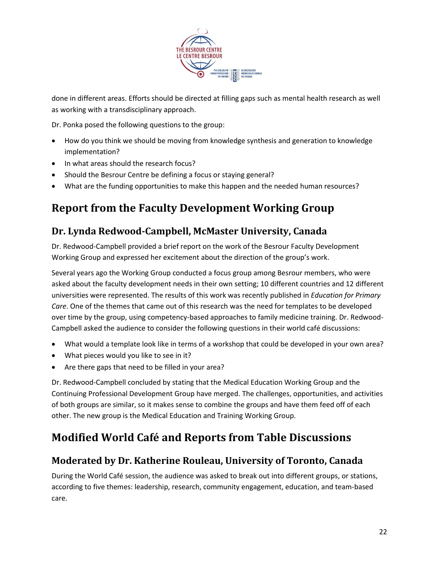

done in different areas. Efforts should be directed at filling gaps such as mental health research as well as working with a transdisciplinary approach.

Dr. Ponka posed the following questions to the group:

- How do you think we should be moving from knowledge synthesis and generation to knowledge implementation?
- In what areas should the research focus?
- Should the Besrour Centre be defining a focus or staying general?
- What are the funding opportunities to make this happen and the needed human resources?

### <span id="page-21-0"></span>**Report from the Faculty Development Working Group**

#### **Dr. Lynda Redwood-Campbell, McMaster University, Canada**

Dr. Redwood-Campbell provided a brief report on the work of the Besrour Faculty Development Working Group and expressed her excitement about the direction of the group's work.

Several years ago the Working Group conducted a focus group among Besrour members, who were asked about the faculty development needs in their own setting; 10 different countries and 12 different universities were represented. The results of this work was recently published in *Education for Primary Care*. One of the themes that came out of this research was the need for templates to be developed over time by the group, using competency-based approaches to family medicine training. Dr. Redwood-Campbell asked the audience to consider the following questions in their world café discussions:

- What would a template look like in terms of a workshop that could be developed in your own area?
- What pieces would you like to see in it?
- Are there gaps that need to be filled in your area?

Dr. Redwood-Campbell concluded by stating that the Medical Education Working Group and the Continuing Professional Development Group have merged. The challenges, opportunities, and activities of both groups are similar, so it makes sense to combine the groups and have them feed off of each other. The new group is the Medical Education and Training Working Group.

### <span id="page-21-1"></span>**Modified World Café and Reports from Table Discussions**

#### **Moderated by Dr. Katherine Rouleau, University of Toronto, Canada**

During the World Café session, the audience was asked to break out into different groups, or stations, according to five themes: leadership, research, community engagement, education, and team-based care.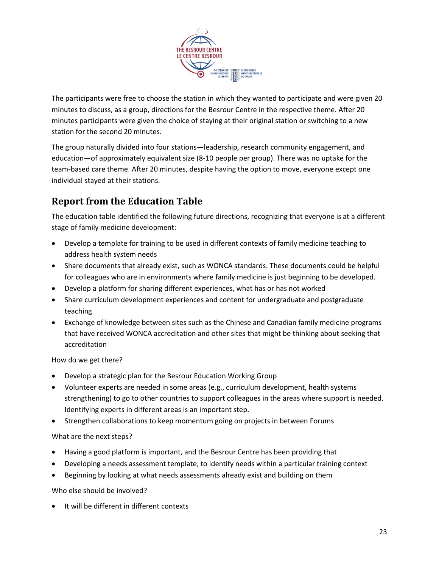

The participants were free to choose the station in which they wanted to participate and were given 20 minutes to discuss, as a group, directions for the Besrour Centre in the respective theme. After 20 minutes participants were given the choice of staying at their original station or switching to a new station for the second 20 minutes.

The group naturally divided into four stations—leadership, research community engagement, and education—of approximately equivalent size (8-10 people per group). There was no uptake for the team-based care theme. After 20 minutes, despite having the option to move, everyone except one individual stayed at their stations.

### **Report from the Education Table**

The education table identified the following future directions, recognizing that everyone is at a different stage of family medicine development:

- Develop a template for training to be used in different contexts of family medicine teaching to address health system needs
- Share documents that already exist, such as WONCA standards. These documents could be helpful for colleagues who are in environments where family medicine is just beginning to be developed.
- Develop a platform for sharing different experiences, what has or has not worked
- Share curriculum development experiences and content for undergraduate and postgraduate teaching
- Exchange of knowledge between sites such as the Chinese and Canadian family medicine programs that have received WONCA accreditation and other sites that might be thinking about seeking that accreditation

How do we get there?

- Develop a strategic plan for the Besrour Education Working Group
- Volunteer experts are needed in some areas (e.g., curriculum development, health systems strengthening) to go to other countries to support colleagues in the areas where support is needed. Identifying experts in different areas is an important step.
- Strengthen collaborations to keep momentum going on projects in between Forums

What are the next steps?

- Having a good platform is important, and the Besrour Centre has been providing that
- Developing a needs assessment template, to identify needs within a particular training context
- Beginning by looking at what needs assessments already exist and building on them

Who else should be involved?

• It will be different in different contexts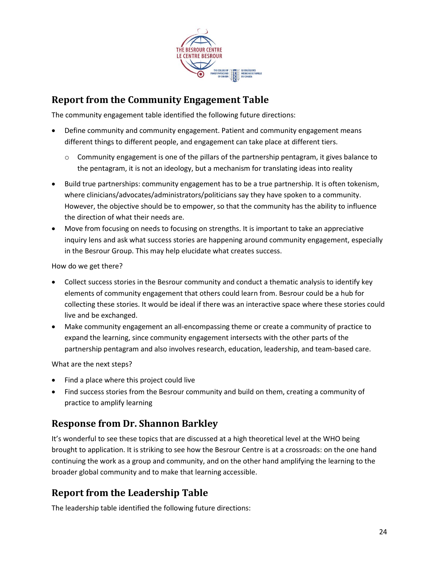

### **Report from the Community Engagement Table**

The community engagement table identified the following future directions:

- Define community and community engagement. Patient and community engagement means different things to different people, and engagement can take place at different tiers.
	- $\circ$  Community engagement is one of the pillars of the partnership pentagram, it gives balance to the pentagram, it is not an ideology, but a mechanism for translating ideas into reality
- Build true partnerships: community engagement has to be a true partnership. It is often tokenism, where clinicians/advocates/administrators/politicians say they have spoken to a community. However, the objective should be to empower, so that the community has the ability to influence the direction of what their needs are.
- Move from focusing on needs to focusing on strengths. It is important to take an appreciative inquiry lens and ask what success stories are happening around community engagement, especially in the Besrour Group. This may help elucidate what creates success.

How do we get there?

- Collect success stories in the Besrour community and conduct a thematic analysis to identify key elements of community engagement that others could learn from. Besrour could be a hub for collecting these stories. It would be ideal if there was an interactive space where these stories could live and be exchanged.
- Make community engagement an all-encompassing theme or create a community of practice to expand the learning, since community engagement intersects with the other parts of the partnership pentagram and also involves research, education, leadership, and team-based care.

What are the next steps?

- Find a place where this project could live
- Find success stories from the Besrour community and build on them, creating a community of practice to amplify learning

### **Response from Dr. Shannon Barkley**

It's wonderful to see these topics that are discussed at a high theoretical level at the WHO being brought to application. It is striking to see how the Besrour Centre is at a crossroads: on the one hand continuing the work as a group and community, and on the other hand amplifying the learning to the broader global community and to make that learning accessible.

### **Report from the Leadership Table**

The leadership table identified the following future directions: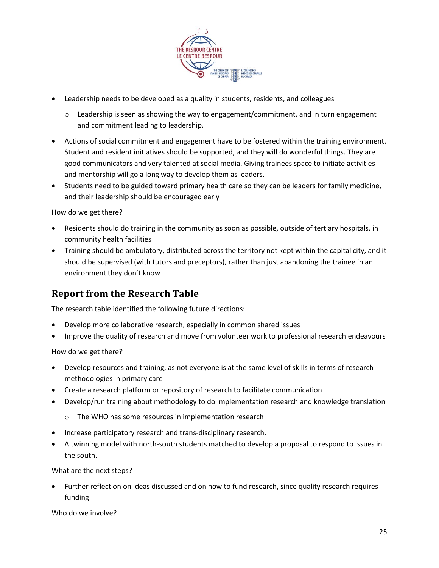

- Leadership needs to be developed as a quality in students, residents, and colleagues
	- $\circ$  Leadership is seen as showing the way to engagement/commitment, and in turn engagement and commitment leading to leadership.
- Actions of social commitment and engagement have to be fostered within the training environment. Student and resident initiatives should be supported, and they will do wonderful things. They are good communicators and very talented at social media. Giving trainees space to initiate activities and mentorship will go a long way to develop them as leaders.
- Students need to be guided toward primary health care so they can be leaders for family medicine, and their leadership should be encouraged early

How do we get there?

- Residents should do training in the community as soon as possible, outside of tertiary hospitals, in community health facilities
- Training should be ambulatory, distributed across the territory not kept within the capital city, and it should be supervised (with tutors and preceptors), rather than just abandoning the trainee in an environment they don't know

#### **Report from the Research Table**

The research table identified the following future directions:

- Develop more collaborative research, especially in common shared issues
- Improve the quality of research and move from volunteer work to professional research endeavours

How do we get there?

- Develop resources and training, as not everyone is at the same level of skills in terms of research methodologies in primary care
- Create a research platform or repository of research to facilitate communication
- Develop/run training about methodology to do implementation research and knowledge translation
	- o The WHO has some resources in implementation research
- Increase participatory research and trans-disciplinary research.
- A twinning model with north-south students matched to develop a proposal to respond to issues in the south.

What are the next steps?

• Further reflection on ideas discussed and on how to fund research, since quality research requires funding

Who do we involve?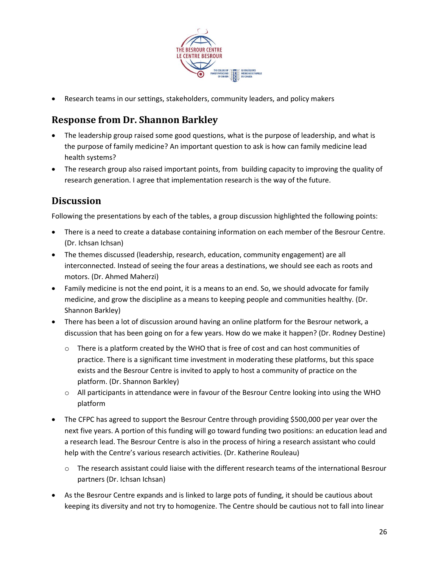

• Research teams in our settings, stakeholders, community leaders, and policy makers

### **Response from Dr. Shannon Barkley**

- The leadership group raised some good questions, what is the purpose of leadership, and what is the purpose of family medicine? An important question to ask is how can family medicine lead health systems?
- The research group also raised important points, from building capacity to improving the quality of research generation. I agree that implementation research is the way of the future.

#### **Discussion**

Following the presentations by each of the tables, a group discussion highlighted the following points:

- There is a need to create a database containing information on each member of the Besrour Centre. (Dr. Ichsan Ichsan)
- The themes discussed (leadership, research, education, community engagement) are all interconnected. Instead of seeing the four areas a destinations, we should see each as roots and motors. (Dr. Ahmed Maherzi)
- Family medicine is not the end point, it is a means to an end. So, we should advocate for family medicine, and grow the discipline as a means to keeping people and communities healthy. (Dr. Shannon Barkley)
- There has been a lot of discussion around having an online platform for the Besrour network, a discussion that has been going on for a few years. How do we make it happen? (Dr. Rodney Destine)
	- $\circ$  There is a platform created by the WHO that is free of cost and can host communities of practice. There is a significant time investment in moderating these platforms, but this space exists and the Besrour Centre is invited to apply to host a community of practice on the platform. (Dr. Shannon Barkley)
	- o All participants in attendance were in favour of the Besrour Centre looking into using the WHO platform
- The CFPC has agreed to support the Besrour Centre through providing \$500,000 per year over the next five years. A portion of this funding will go toward funding two positions: an education lead and a research lead. The Besrour Centre is also in the process of hiring a research assistant who could help with the Centre's various research activities. (Dr. Katherine Rouleau)
	- o The research assistant could liaise with the different research teams of the international Besrour partners (Dr. Ichsan Ichsan)
- As the Besrour Centre expands and is linked to large pots of funding, it should be cautious about keeping its diversity and not try to homogenize. The Centre should be cautious not to fall into linear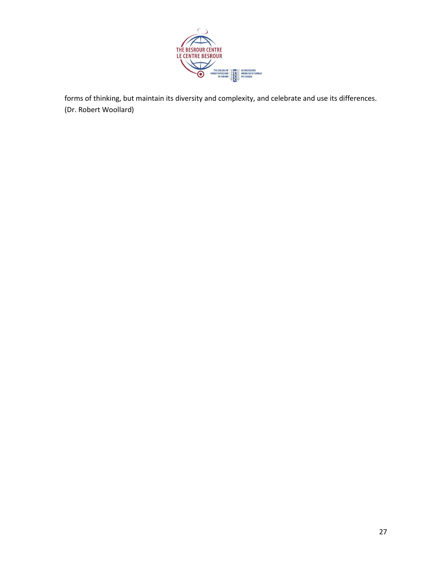

forms of thinking, but maintain its diversity and complexity, and celebrate and use its differences. (Dr. Robert Woollard)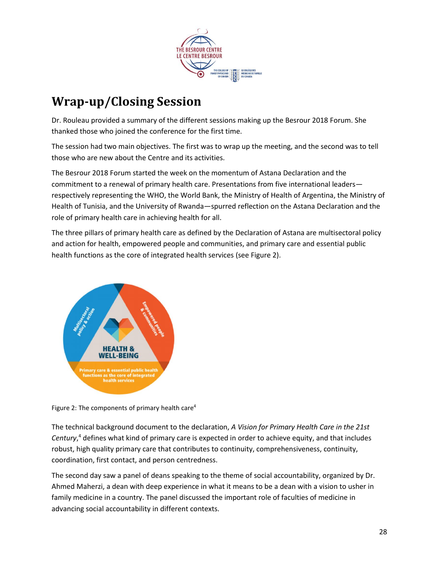

## <span id="page-27-0"></span>**Wrap-up/Closing Session**

Dr. Rouleau provided a summary of the different sessions making up the Besrour 2018 Forum. She thanked those who joined the conference for the first time.

The session had two main objectives. The first was to wrap up the meeting, and the second was to tell those who are new about the Centre and its activities.

The Besrour 2018 Forum started the week on the momentum of Astana Declaration and the commitment to a renewal of primary health care. Presentations from five international leaders respectively representing the WHO, the World Bank, the Ministry of Health of Argentina, the Ministry of Health of Tunisia, and the University of Rwanda—spurred reflection on the Astana Declaration and the role of primary health care in achieving health for all.

The three pillars of primary health care as defined by the Declaration of Astana are multisectoral policy and action for health, empowered people and communities, and primary care and essential public health functions as the core of integrated health services (see Figure 2).



Figure 2: The components of primary health care<sup>4</sup>

The technical background document to the declaration, *A Vision for Primary Health Care in the 21st Century*, <sup>4</sup> defines what kind of primary care is expected in order to achieve equity, and that includes robust, high quality primary care that contributes to continuity, comprehensiveness, continuity, coordination, first contact, and person centredness.

The second day saw a panel of deans speaking to the theme of social accountability, organized by Dr. Ahmed Maherzi, a dean with deep experience in what it means to be a dean with a vision to usher in family medicine in a country. The panel discussed the important role of faculties of medicine in advancing social accountability in different contexts.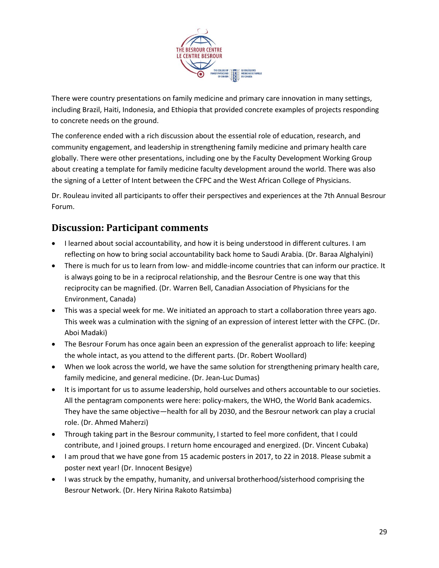

There were country presentations on family medicine and primary care innovation in many settings, including Brazil, Haiti, Indonesia, and Ethiopia that provided concrete examples of projects responding to concrete needs on the ground.

The conference ended with a rich discussion about the essential role of education, research, and community engagement, and leadership in strengthening family medicine and primary health care globally. There were other presentations, including one by the Faculty Development Working Group about creating a template for family medicine faculty development around the world. There was also the signing of a Letter of Intent between the CFPC and the West African College of Physicians.

Dr. Rouleau invited all participants to offer their perspectives and experiences at the 7th Annual Besrour Forum.

### **Discussion: Participant comments**

- I learned about social accountability, and how it is being understood in different cultures. I am reflecting on how to bring social accountability back home to Saudi Arabia. (Dr. Baraa Alghalyini)
- There is much for us to learn from low- and middle-income countries that can inform our practice. It is always going to be in a reciprocal relationship, and the Besrour Centre is one way that this reciprocity can be magnified. (Dr. Warren Bell, Canadian Association of Physicians for the Environment, Canada)
- This was a special week for me. We initiated an approach to start a collaboration three years ago. This week was a culmination with the signing of an expression of interest letter with the CFPC. (Dr. Aboi Madaki)
- The Besrour Forum has once again been an expression of the generalist approach to life: keeping the whole intact, as you attend to the different parts. (Dr. Robert Woollard)
- When we look across the world, we have the same solution for strengthening primary health care, family medicine, and general medicine. (Dr. Jean-Luc Dumas)
- It is important for us to assume leadership, hold ourselves and others accountable to our societies. All the pentagram components were here: policy-makers, the WHO, the World Bank academics. They have the same objective—health for all by 2030, and the Besrour network can play a crucial role. (Dr. Ahmed Maherzi)
- Through taking part in the Besrour community, I started to feel more confident, that I could contribute, and I joined groups. I return home encouraged and energized. (Dr. Vincent Cubaka)
- I am proud that we have gone from 15 academic posters in 2017, to 22 in 2018. Please submit a poster next year! (Dr. Innocent Besigye)
- I was struck by the empathy, humanity, and universal brotherhood/sisterhood comprising the Besrour Network. (Dr. Hery Nirina Rakoto Ratsimba)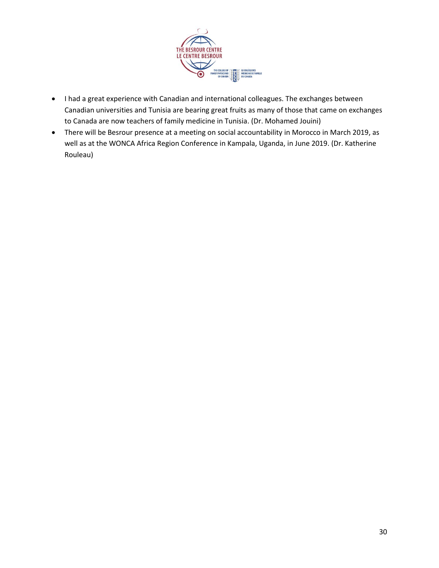

- I had a great experience with Canadian and international colleagues. The exchanges between Canadian universities and Tunisia are bearing great fruits as many of those that came on exchanges to Canada are now teachers of family medicine in Tunisia. (Dr. Mohamed Jouini)
- There will be Besrour presence at a meeting on social accountability in Morocco in March 2019, as well as at the WONCA Africa Region Conference in Kampala, Uganda, in June 2019. (Dr. Katherine Rouleau)